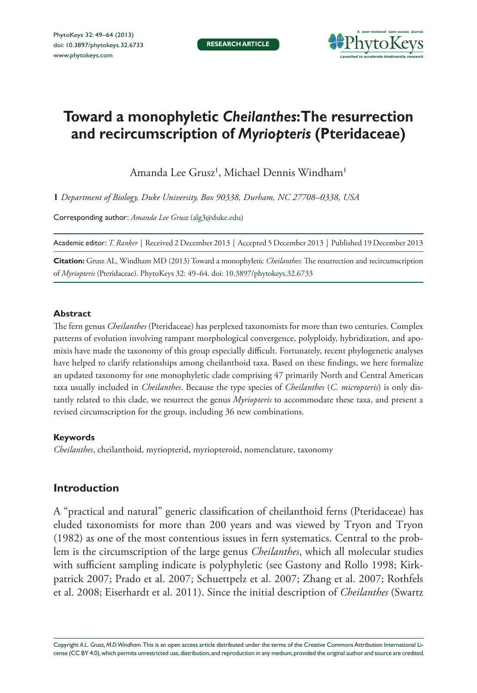

# **Toward a monophyletic** *Cheilanthes***: The resurrection and recircumscription of** *Myriopteris* **(Pteridaceae)**

Amanda Lee Grusz', Michael Dennis Windham'

**1** *Department of Biology, Duke University, Box 90338, Durham, NC 27708–0338, USA*

Corresponding author: *Amanda Lee Grusz* [\(alg3@duke.edu](mailto:alg3@duke.edu))

Academic editor: *T. Ranker* | Received 2 December 2013 | Accepted 5 December 2013 | Published 19 December 2013

**Citation:** Grusz AL, Windham MD (2013) Toward a monophyletic *Cheilanthes*: The resurrection and recircumscription of *Myriopteris* (Pteridaceae). PhytoKeys 32: 49–64. [doi: 10.3897/phytokeys.32.6733](http://dx.doi.org/10.3897/phytokeys.32.6733)

## **Abstract**

The fern genus *Cheilanthes* (Pteridaceae) has perplexed taxonomists for more than two centuries. Complex patterns of evolution involving rampant morphological convergence, polyploidy, hybridization, and apomixis have made the taxonomy of this group especially difficult. Fortunately, recent phylogenetic analyses have helped to clarify relationships among cheilanthoid taxa. Based on these findings, we here formalize an updated taxonomy for one monophyletic clade comprising 47 primarily North and Central American taxa usually included in *Cheilanthes*. Because the type species of *Cheilanthes* (*C. micropteris*) is only distantly related to this clade, we resurrect the genus *Myriopteris* to accommodate these taxa, and present a revised circumscription for the group, including 36 new combinations.

## **Keywords**

*Cheilanthes*, cheilanthoid, myriopterid, myriopteroid, nomenclature, taxonomy

# **Introduction**

A "practical and natural" generic classification of cheilanthoid ferns (Pteridaceae) has eluded taxonomists for more than 200 years and was viewed by Tryon and Tryon (1982) as one of the most contentious issues in fern systematics. Central to the problem is the circumscription of the large genus *Cheilanthes*, which all molecular studies with sufficient sampling indicate is polyphyletic (see Gastony and Rollo 1998; Kirkpatrick 2007; Prado et al. 2007; Schuettpelz et al. 2007; Zhang et al. 2007; Rothfels et al. 2008; Eiserhardt et al. 2011). Since the initial description of *Cheilanthes* (Swartz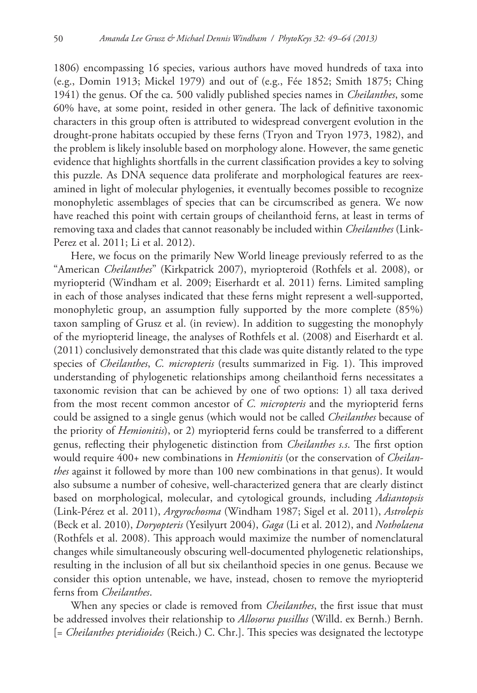1806) encompassing 16 species, various authors have moved hundreds of taxa into (e.g., Domin 1913; Mickel 1979) and out of (e.g., Fée 1852; Smith 1875; Ching 1941) the genus. Of the ca. 500 validly published species names in *Cheilanthes*, some 60% have, at some point, resided in other genera. The lack of definitive taxonomic characters in this group often is attributed to widespread convergent evolution in the drought-prone habitats occupied by these ferns (Tryon and Tryon 1973, 1982), and the problem is likely insoluble based on morphology alone. However, the same genetic evidence that highlights shortfalls in the current classification provides a key to solving this puzzle. As DNA sequence data proliferate and morphological features are reexamined in light of molecular phylogenies, it eventually becomes possible to recognize monophyletic assemblages of species that can be circumscribed as genera. We now have reached this point with certain groups of cheilanthoid ferns, at least in terms of removing taxa and clades that cannot reasonably be included within *Cheilanthes* (Link-Perez et al. 2011; Li et al. 2012).

Here, we focus on the primarily New World lineage previously referred to as the "American *Cheilanthes*" (Kirkpatrick 2007), myriopteroid (Rothfels et al. 2008), or myriopterid (Windham et al. 2009; Eiserhardt et al. 2011) ferns. Limited sampling in each of those analyses indicated that these ferns might represent a well-supported, monophyletic group, an assumption fully supported by the more complete (85%) taxon sampling of Grusz et al. (in review). In addition to suggesting the monophyly of the myriopterid lineage, the analyses of Rothfels et al. (2008) and Eiserhardt et al. (2011) conclusively demonstrated that this clade was quite distantly related to the type species of *Cheilanthes*, *C. micropteris* (results summarized in Fig. 1). This improved understanding of phylogenetic relationships among cheilanthoid ferns necessitates a taxonomic revision that can be achieved by one of two options: 1) all taxa derived from the most recent common ancestor of *C. micropteris* and the myriopterid ferns could be assigned to a single genus (which would not be called *Cheilanthes* because of the priority of *Hemionitis*), or 2) myriopterid ferns could be transferred to a different genus, reflecting their phylogenetic distinction from *Cheilanthes s.s*. The first option would require 400+ new combinations in *Hemionitis* (or the conservation of *Cheilanthes* against it followed by more than 100 new combinations in that genus). It would also subsume a number of cohesive, well-characterized genera that are clearly distinct based on morphological, molecular, and cytological grounds, including *Adiantopsis* (Link-Pérez et al. 2011), *Argyrochosma* (Windham 1987; Sigel et al. 2011), *Astrolepis* (Beck et al. 2010), *Doryopteris* (Yesilyurt 2004), *Gaga* (Li et al. 2012), and *Notholaena* (Rothfels et al. 2008). This approach would maximize the number of nomenclatural changes while simultaneously obscuring well-documented phylogenetic relationships, resulting in the inclusion of all but six cheilanthoid species in one genus. Because we consider this option untenable, we have, instead, chosen to remove the myriopterid ferns from *Cheilanthes*.

When any species or clade is removed from *Cheilanthes*, the first issue that must be addressed involves their relationship to *Allosorus pusillus* (Willd. ex Bernh.) Bernh. [= *Cheilanthes pteridioides* (Reich.) C. Chr.]. This species was designated the lectotype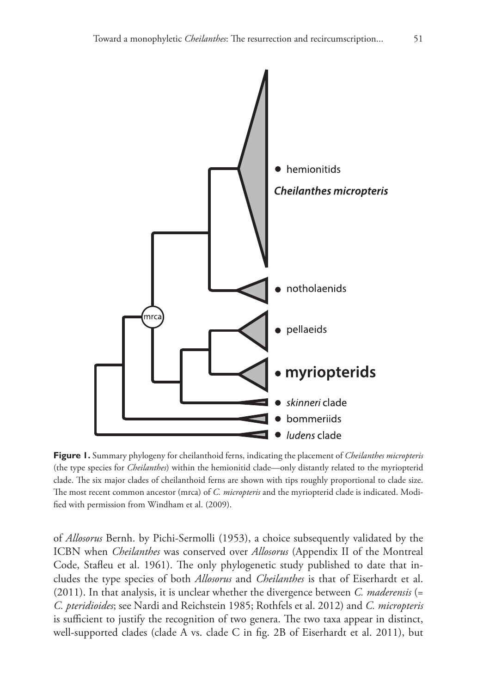

**Figure 1.** Summary phylogeny for cheilanthoid ferns, indicating the placement of *Cheilanthes micropteris* (the type species for *Cheilanthes*) within the hemionitid clade—only distantly related to the myriopterid clade. The six major clades of cheilanthoid ferns are shown with tips roughly proportional to clade size. The most recent common ancestor (mrca) of *C. micropteris* and the myriopterid clade is indicated. Modified with permission from Windham et al. (2009).

of *Allosorus* Bernh. by Pichi-Sermolli (1953), a choice subsequently validated by the ICBN when *Cheilanthes* was conserved over *Allosorus* (Appendix II of the Montreal Code, Stafleu et al. 1961). The only phylogenetic study published to date that includes the type species of both *Allosorus* and *Cheilanthes* is that of Eiserhardt et al. (2011). In that analysis, it is unclear whether the divergence between *C. maderensis* (= *C. pteridioides*; see Nardi and Reichstein 1985; Rothfels et al. 2012) and *C. micropteris* is sufficient to justify the recognition of two genera. The two taxa appear in distinct, well-supported clades (clade A vs. clade C in fig. 2B of Eiserhardt et al. 2011), but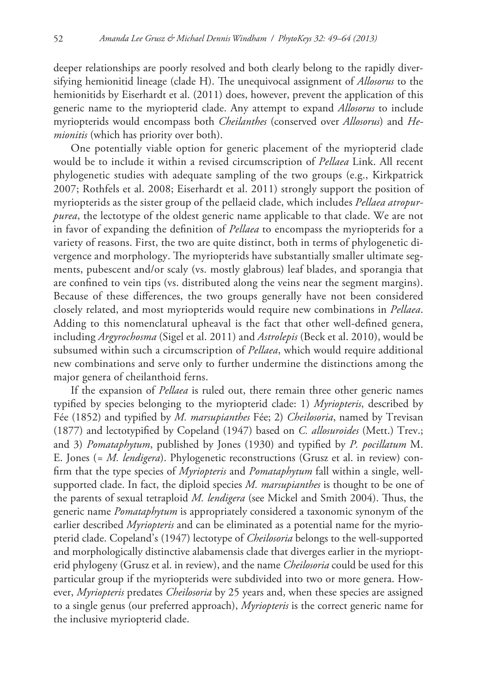deeper relationships are poorly resolved and both clearly belong to the rapidly diversifying hemionitid lineage (clade H). The unequivocal assignment of *Allosorus* to the hemionitids by Eiserhardt et al. (2011) does, however, prevent the application of this generic name to the myriopterid clade. Any attempt to expand *Allosorus* to include myriopterids would encompass both *Cheilanthes* (conserved over *Allosorus*) and *Hemionitis* (which has priority over both).

One potentially viable option for generic placement of the myriopterid clade would be to include it within a revised circumscription of *Pellaea* Link. All recent phylogenetic studies with adequate sampling of the two groups (e.g., Kirkpatrick 2007; Rothfels et al. 2008; Eiserhardt et al. 2011) strongly support the position of myriopterids as the sister group of the pellaeid clade, which includes *Pellaea atropurpurea*, the lectotype of the oldest generic name applicable to that clade. We are not in favor of expanding the definition of *Pellaea* to encompass the myriopterids for a variety of reasons. First, the two are quite distinct, both in terms of phylogenetic divergence and morphology. The myriopterids have substantially smaller ultimate segments, pubescent and/or scaly (vs. mostly glabrous) leaf blades, and sporangia that are confined to vein tips (vs. distributed along the veins near the segment margins). Because of these differences, the two groups generally have not been considered closely related, and most myriopterids would require new combinations in *Pellaea*. Adding to this nomenclatural upheaval is the fact that other well-defined genera, including *Argyrochosma* (Sigel et al. 2011) and *Astrolepis* (Beck et al. 2010), would be subsumed within such a circumscription of *Pellaea*, which would require additional new combinations and serve only to further undermine the distinctions among the major genera of cheilanthoid ferns.

If the expansion of *Pellaea* is ruled out, there remain three other generic names typified by species belonging to the myriopterid clade: 1) *Myriopteris*, described by Fée (1852) and typified by *M. marsupianthes* Fée; 2) *Cheilosoria*, named by Trevisan (1877) and lectotypified by Copeland (1947) based on *C. allosuroides* (Mett.) Trev.; and 3) *Pomataphytum*, published by Jones (1930) and typified by *P. pocillatum* M. E. Jones (*= M. lendigera*). Phylogenetic reconstructions (Grusz et al. in review) confirm that the type species of *Myriopteris* and *Pomataphytum* fall within a single, wellsupported clade. In fact, the diploid species *M. marsupianthes* is thought to be one of the parents of sexual tetraploid *M. lendigera* (see Mickel and Smith 2004). Thus, the generic name *Pomataphytum* is appropriately considered a taxonomic synonym of the earlier described *Myriopteris* and can be eliminated as a potential name for the myriopterid clade. Copeland's (1947) lectotype of *Cheilosoria* belongs to the well-supported and morphologically distinctive alabamensis clade that diverges earlier in the myriopterid phylogeny (Grusz et al. in review), and the name *Cheilosoria* could be used for this particular group if the myriopterids were subdivided into two or more genera. However, *Myriopteris* predates *Cheilosoria* by 25 years and, when these species are assigned to a single genus (our preferred approach), *Myriopteris* is the correct generic name for the inclusive myriopterid clade.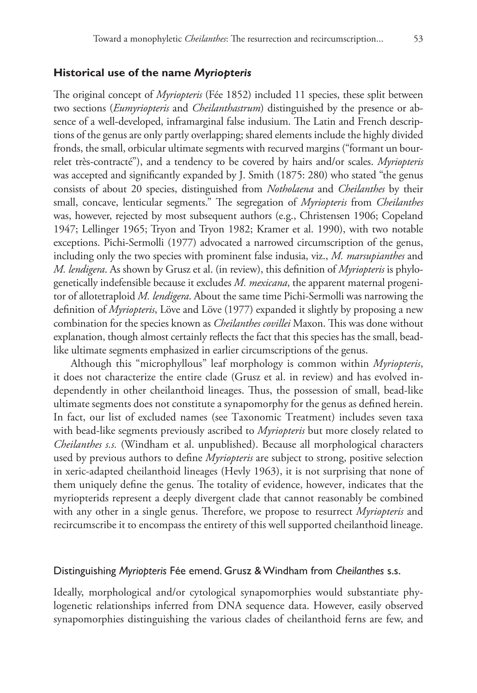## **Historical use of the name** *Myriopteris*

The original concept of *Myriopteris* (Fée 1852) included 11 species, these split between two sections (*Eumyriopteris* and *Cheilanthastrum*) distinguished by the presence or absence of a well-developed, inframarginal false indusium. The Latin and French descriptions of the genus are only partly overlapping; shared elements include the highly divided fronds, the small, orbicular ultimate segments with recurved margins ("formant un bourrelet très-contracté"), and a tendency to be covered by hairs and/or scales. *Myriopteris* was accepted and significantly expanded by J. Smith (1875: 280) who stated "the genus consists of about 20 species, distinguished from *Notholaena* and *Cheilanthes* by their small, concave, lenticular segments." The segregation of *Myriopteris* from *Cheilanthes* was, however, rejected by most subsequent authors (e.g., Christensen 1906; Copeland 1947; Lellinger 1965; Tryon and Tryon 1982; Kramer et al. 1990), with two notable exceptions. Pichi-Sermolli (1977) advocated a narrowed circumscription of the genus, including only the two species with prominent false indusia, viz., *M. marsupianthes* and *M. lendigera*. As shown by Grusz et al. (in review), this definition of *Myriopteris* is phylogenetically indefensible because it excludes *M. mexicana*, the apparent maternal progenitor of allotetraploid *M. lendigera*. About the same time Pichi-Sermolli was narrowing the definition of *Myriopteris*, Löve and Löve (1977) expanded it slightly by proposing a new combination for the species known as *Cheilanthes covillei* Maxon. This was done without explanation, though almost certainly reflects the fact that this species has the small, beadlike ultimate segments emphasized in earlier circumscriptions of the genus.

Although this "microphyllous" leaf morphology is common within *Myriopteris*, it does not characterize the entire clade (Grusz et al. in review) and has evolved independently in other cheilanthoid lineages. Thus, the possession of small, bead-like ultimate segments does not constitute a synapomorphy for the genus as defined herein. In fact, our list of excluded names (see Taxonomic Treatment) includes seven taxa with bead-like segments previously ascribed to *Myriopteris* but more closely related to *Cheilanthes s.s.* (Windham et al. unpublished). Because all morphological characters used by previous authors to define *Myriopteris* are subject to strong, positive selection in xeric-adapted cheilanthoid lineages (Hevly 1963), it is not surprising that none of them uniquely define the genus. The totality of evidence, however, indicates that the myriopterids represent a deeply divergent clade that cannot reasonably be combined with any other in a single genus. Therefore, we propose to resurrect *Myriopteris* and recircumscribe it to encompass the entirety of this well supported cheilanthoid lineage.

#### Distinguishing *Myriopteris* Fée emend. Grusz & Windham from *Cheilanthes* s.s.

Ideally, morphological and/or cytological synapomorphies would substantiate phylogenetic relationships inferred from DNA sequence data. However, easily observed synapomorphies distinguishing the various clades of cheilanthoid ferns are few, and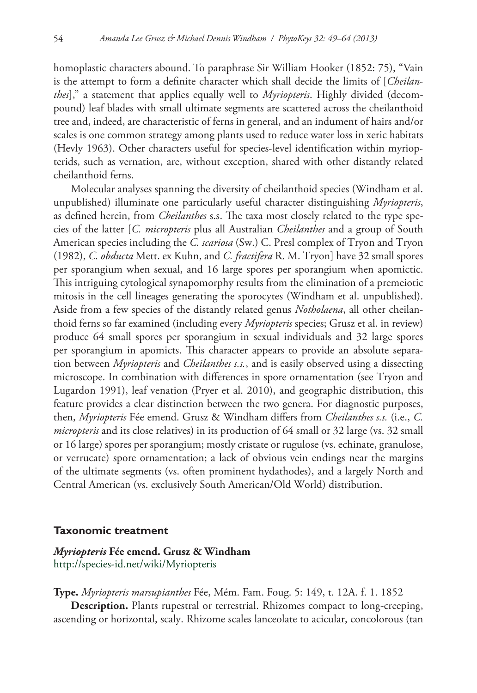homoplastic characters abound. To paraphrase Sir William Hooker (1852: 75), "Vain is the attempt to form a definite character which shall decide the limits of [*Cheilanthes*]," a statement that applies equally well to *Myriopteris*. Highly divided (decompound) leaf blades with small ultimate segments are scattered across the cheilanthoid tree and, indeed, are characteristic of ferns in general, and an indument of hairs and/or scales is one common strategy among plants used to reduce water loss in xeric habitats (Hevly 1963). Other characters useful for species-level identification within myriopterids, such as vernation, are, without exception, shared with other distantly related cheilanthoid ferns.

Molecular analyses spanning the diversity of cheilanthoid species (Windham et al. unpublished) illuminate one particularly useful character distinguishing *Myriopteris*, as defined herein, from *Cheilanthes* s.s. The taxa most closely related to the type species of the latter [*C. micropteris* plus all Australian *Cheilanthes* and a group of South American species including the *C. scariosa* (Sw.) C. Presl complex of Tryon and Tryon (1982), *C. obducta* Mett. ex Kuhn, and *C. fractifera* R. M. Tryon] have 32 small spores per sporangium when sexual, and 16 large spores per sporangium when apomictic. This intriguing cytological synapomorphy results from the elimination of a premeiotic mitosis in the cell lineages generating the sporocytes (Windham et al. unpublished). Aside from a few species of the distantly related genus *Notholaena*, all other cheilanthoid ferns so far examined (including every *Myriopteris* species; Grusz et al. in review) produce 64 small spores per sporangium in sexual individuals and 32 large spores per sporangium in apomicts. This character appears to provide an absolute separation between *Myriopteris* and *Cheilanthes s.s.*, and is easily observed using a dissecting microscope. In combination with differences in spore ornamentation (see Tryon and Lugardon 1991), leaf venation (Pryer et al. 2010), and geographic distribution, this feature provides a clear distinction between the two genera. For diagnostic purposes, then, *Myriopteris* Fée emend. Grusz & Windham differs from *Cheilanthes s.s.* (i.e., *C. micropteris* and its close relatives) in its production of 64 small or 32 large (vs. 32 small or 16 large) spores per sporangium; mostly cristate or rugulose (vs. echinate, granulose, or verrucate) spore ornamentation; a lack of obvious vein endings near the margins of the ultimate segments (vs. often prominent hydathodes), and a largely North and Central American (vs. exclusively South American/Old World) distribution.

#### **Taxonomic treatment**

## *Myriopteris* **Fée emend. Grusz & Windham** <http://species-id.net/wiki/Myriopteris>

**Type.** *Myriopteris marsupianthes* Fée, Mém. Fam. Foug. 5: 149, t. 12A. f. 1. 1852

**Description.** Plants rupestral or terrestrial. Rhizomes compact to long-creeping, ascending or horizontal, scaly. Rhizome scales lanceolate to acicular, concolorous (tan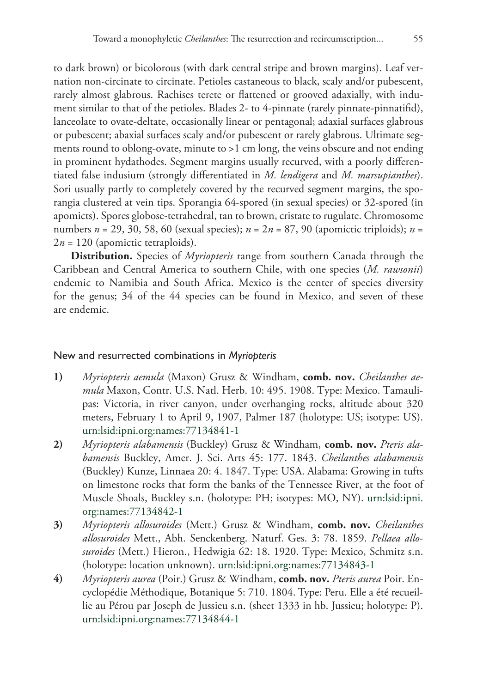to dark brown) or bicolorous (with dark central stripe and brown margins). Leaf vernation non-circinate to circinate. Petioles castaneous to black, scaly and/or pubescent, rarely almost glabrous. Rachises terete or flattened or grooved adaxially, with indument similar to that of the petioles. Blades 2- to 4-pinnate (rarely pinnate-pinnatifid), lanceolate to ovate-deltate, occasionally linear or pentagonal; adaxial surfaces glabrous or pubescent; abaxial surfaces scaly and/or pubescent or rarely glabrous. Ultimate segments round to oblong-ovate, minute to >1 cm long, the veins obscure and not ending in prominent hydathodes. Segment margins usually recurved, with a poorly differentiated false indusium (strongly differentiated in *M. lendigera* and *M. marsupianthes*). Sori usually partly to completely covered by the recurved segment margins, the sporangia clustered at vein tips. Sporangia 64-spored (in sexual species) or 32-spored (in apomicts). Spores globose-tetrahedral, tan to brown, cristate to rugulate. Chromosome numbers *n* = 29, 30, 58, 60 (sexual species); *n* = 2*n* = 87, 90 (apomictic triploids); *n* =  $2n = 120$  (apomictic tetraploids).

**Distribution.** Species of *Myriopteris* range from southern Canada through the Caribbean and Central America to southern Chile, with one species (*M. rawsonii*) endemic to Namibia and South Africa. Mexico is the center of species diversity for the genus; 34 of the 44 species can be found in Mexico, and seven of these are endemic.

## New and resurrected combinations in *Myriopteris*

- **1)** *Myriopteris aemula* (Maxon) Grusz & Windham, **comb. nov.** *Cheilanthes aemula* Maxon, Contr. U.S. Natl. Herb. 10: 495. 1908. Type: Mexico. Tamaulipas: Victoria, in river canyon, under overhanging rocks, altitude about 320 meters, February 1 to April 9, 1907, Palmer 187 (holotype: US; isotype: US). [urn:lsid:ipni.org:names:77134841-1](http://ipni.org/urn:lsid:ipni.org:names:77134841-1)
- **2)** *Myriopteris alabamensis* (Buckley) Grusz & Windham, **comb. nov.** *Pteris alabamensis* Buckley, Amer. J. Sci. Arts 45: 177. 1843. *Cheilanthes alabamensis* (Buckley) Kunze, Linnaea 20: 4. 1847. Type: USA. Alabama: Growing in tufts on limestone rocks that form the banks of the Tennessee River, at the foot of Muscle Shoals, Buckley s.n. (holotype: PH; isotypes: MO, NY). [urn:lsid:ipni.](http://ipni.org/urn:lsid:ipni.org:names:77134842-1) [org:names:77134842-1](http://ipni.org/urn:lsid:ipni.org:names:77134842-1)
- **3)** *Myriopteris allosuroides* (Mett.) Grusz & Windham, **comb. nov.** *Cheilanthes allosuroides* Mett., Abh. Senckenberg. Naturf. Ges. 3: 78. 1859. *Pellaea allosuroides* (Mett.) Hieron., Hedwigia 62: 18. 1920. Type: Mexico, Schmitz s.n. (holotype: location unknown). [urn:lsid:ipni.org:names:77134843-1](http://ipni.org/urn:lsid:ipni.org:names:77134843-1)
- **4)** *Myriopteris aurea* (Poir.) Grusz & Windham, **comb. nov.** *Pteris aurea* Poir. Encyclopédie Méthodique, Botanique 5: 710. 1804. Type: Peru. Elle a été recueillie au Pérou par Joseph de Jussieu s.n. (sheet 1333 in hb. Jussieu; holotype: P). [urn:lsid:ipni.org:names:77134844-1](http://ipni.org/urn:lsid:ipni.org:names:77134844-1)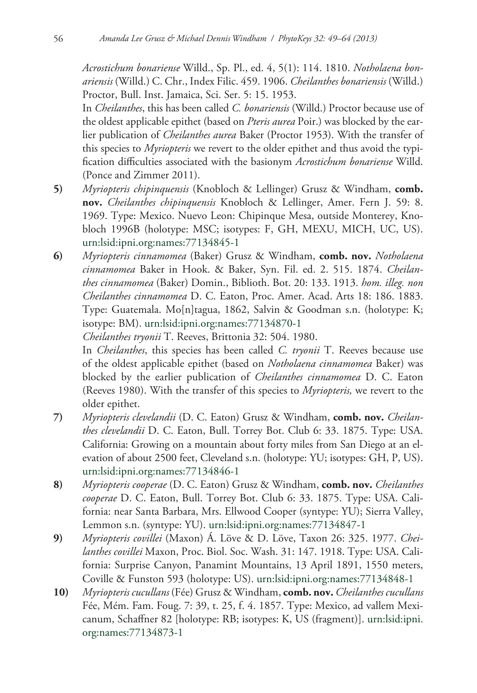*Acrostichum bonariense* Willd., Sp. Pl., ed. 4, 5(1): 114. 1810. *Notholaena bonariensis* (Willd.) C. Chr., Index Filic. 459. 1906. *Cheilanthes bonariensis* (Willd.) Proctor, Bull. Inst. Jamaica, Sci. Ser. 5: 15. 1953.

In *Cheilanthes*, this has been called *C. bonariensis* (Willd.) Proctor because use of the oldest applicable epithet (based on *Pteris aurea* Poir.) was blocked by the earlier publication of *Cheilanthes aurea* Baker (Proctor 1953). With the transfer of this species to *Myriopteris* we revert to the older epithet and thus avoid the typification difficulties associated with the basionym *Acrostichum bonariense* Willd. (Ponce and Zimmer 2011).

- **5)** *Myriopteris chipinquensis* (Knobloch & Lellinger) Grusz & Windham, **comb. nov.** *Cheilanthes chipinquensis* Knobloch & Lellinger, Amer. Fern J. 59: 8. 1969. Type: Mexico. Nuevo Leon: Chipinque Mesa, outside Monterey, Knobloch 1996B (holotype: MSC; isotypes: F, GH, MEXU, MICH, UC, US). [urn:lsid:ipni.org:names:77134845-1](http://ipni.org/urn:lsid:ipni.org:names:77134845-1)
- **6)** *Myriopteris cinnamomea* (Baker) Grusz & Windham, **comb. nov.** *Notholaena cinnamomea* Baker in Hook. & Baker, Syn. Fil. ed. 2. 515. 1874. *Cheilanthes cinnamomea* (Baker) Domin., Biblioth. Bot. 20: 133. 1913. *hom. illeg. non Cheilanthes cinnamomea* D. C. Eaton, Proc. Amer. Acad. Arts 18: 186. 1883. Type: Guatemala. Mo[n]tagua, 1862, Salvin & Goodman s.n. (holotype: K; isotype: BM). [urn:lsid:ipni.org:names:77134870-1](http://ipni.org/urn:lsid:ipni.org:names:77134870-1)

*Cheilanthes tryonii* T. Reeves, Brittonia 32: 504. 1980.

In *Cheilanthes*, this species has been called *C. tryonii* T. Reeves because use of the oldest applicable epithet (based on *Notholaena cinnamomea* Baker) was blocked by the earlier publication of *Cheilanthes cinnamomea* D. C. Eaton (Reeves 1980). With the transfer of this species to *Myriopteris,* we revert to the older epithet.

- **7)** *Myriopteris clevelandii* (D. C. Eaton) Grusz & Windham, **comb. nov.** *Cheilanthes clevelandii* D. C. Eaton, Bull. Torrey Bot. Club 6: 33. 1875. Type: USA. California: Growing on a mountain about forty miles from San Diego at an elevation of about 2500 feet, Cleveland s.n. (holotype: YU; isotypes: GH, P, US). [urn:lsid:ipni.org:names:77134846-1](http://ipni.org/urn:lsid:ipni.org:names:77134846-1)
- **8)** *Myriopteris cooperae* (D. C. Eaton) Grusz & Windham, **comb. nov.** *Cheilanthes cooperae* D. C. Eaton, Bull. Torrey Bot. Club 6: 33. 1875. Type: USA. California: near Santa Barbara, Mrs. Ellwood Cooper (syntype: YU); Sierra Valley, Lemmon s.n. (syntype: YU). [urn:lsid:ipni.org:names:77134847-1](http://ipni.org/urn:lsid:ipni.org:names:77134847-1)
- **9)** *Myriopteris covillei* (Maxon) Á. Löve & D. Löve, Taxon 26: 325. 1977. *Cheilanthes covillei* Maxon, Proc. Biol. Soc. Wash. 31: 147. 1918. Type: USA. California: Surprise Canyon, Panamint Mountains, 13 April 1891, 1550 meters, Coville & Funston 593 (holotype: US). [urn:lsid:ipni.org:names:77134848-1](http://ipni.org/urn:lsid:ipni.org:names:77134848-1)
- **10)** *Myriopteris cucullans* (Fée) Grusz & Windham, **comb. nov.** *Cheilanthes cucullans* Fée, Mém. Fam. Foug. 7: 39, t. 25, f. 4. 1857. Type: Mexico, ad vallem Mexicanum, Schaffner 82 [holotype: RB; isotypes: K, US (fragment)]. [urn:lsid:ipni.](http://ipni.org/urn:lsid:ipni.org:names:77134873-1) [org:names:77134873-1](http://ipni.org/urn:lsid:ipni.org:names:77134873-1)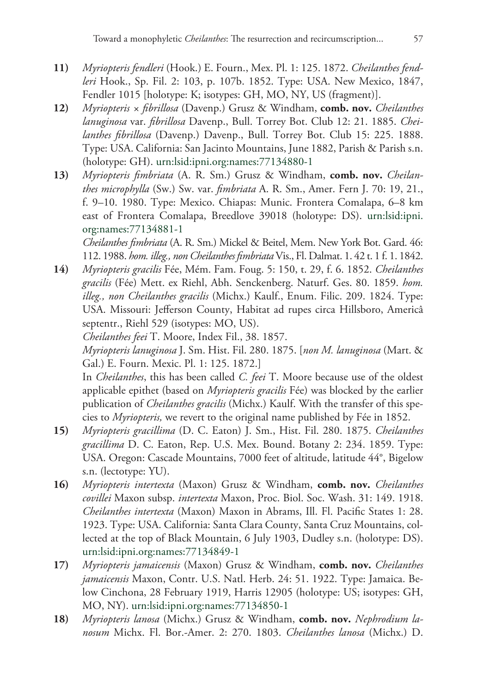- **11)** *Myriopteris fendleri* (Hook.) E. Fourn., Mex. Pl. 1: 125. 1872. *Cheilanthes fendleri* Hook., Sp. Fil. 2: 103, p. 107b. 1852. Type: USA. New Mexico, 1847, Fendler 1015 [holotype: K; isotypes: GH, MO, NY, US (fragment)].
- **12)** *Myriopteris × fibrillosa* (Davenp.) Grusz & Windham, **comb. nov.** *Cheilanthes lanuginosa* var. *fibrillosa* Davenp., Bull. Torrey Bot. Club 12: 21. 1885. *Cheilanthes fibrillosa* (Davenp.) Davenp., Bull. Torrey Bot. Club 15: 225. 1888. Type: USA. California: San Jacinto Mountains, June 1882, Parish & Parish s.n. (holotype: GH). [urn:lsid:ipni.org:names:77134880-1](http://ipni.org/urn:lsid:ipni.org:names:77134880-1)
- **13)** *Myriopteris fimbriata* (A. R. Sm.) Grusz & Windham, **comb. nov.** *Cheilanthes microphylla* (Sw.) Sw. var. *fimbriata* A. R. Sm., Amer. Fern J. 70: 19, 21., f. 9–10. 1980. Type: Mexico. Chiapas: Munic. Frontera Comalapa, 6–8 km east of Frontera Comalapa, Breedlove 39018 (holotype: DS). [urn:lsid:ipni.](http://ipni.org/urn:lsid:ipni.org:names:77134881-1) [org:names:77134881-1](http://ipni.org/urn:lsid:ipni.org:names:77134881-1)

*Cheilanthes fimbriata* (A. R. Sm.) Mickel & Beitel, Mem. New York Bot. Gard. 46: 112. 1988. *hom. illeg., nonCheilanthes fimbriata* Vis., Fl. Dalmat. 1. 42 t. 1 f. 1. 1842.

**14)** *Myriopteris gracilis* Fée, Mém. Fam. Foug. 5: 150, t. 29, f. 6. 1852. *Cheilanthes gracilis* (Fée) Mett. ex Riehl, Abh. Senckenberg. Naturf. Ges. 80. 1859. *hom. illeg., non Cheilanthes gracilis* (Michx.) Kaulf., Enum. Filic. 209. 1824. Type: USA. Missouri: Jefferson County, Habitat ad rupes circa Hillsboro, Americâ septentr., Riehl 529 (isotypes: MO, US).

*Cheilanthes feei* T. Moore, Index Fil., 38. 1857.

*Myriopteris lanuginosa* J. Sm. Hist. Fil. 280. 1875. [*non M. lanuginosa* (Mart. & Gal.) E. Fourn. Mexic. Pl. 1: 125. 1872.]

In *Cheilanthes*, this has been called *C. feei* T. Moore because use of the oldest applicable epithet (based on *Myriopteris gracilis* Fée) was blocked by the earlier publication of *Cheilanthes gracilis* (Michx.) Kaulf. With the transfer of this species to *Myriopteris,* we revert to the original name published by Fée in 1852.

- **15)** *Myriopteris gracillima* (D. C. Eaton) J. Sm., Hist. Fil. 280. 1875. *Cheilanthes gracillima* D. C. Eaton, Rep. U.S. Mex. Bound. Botany 2: 234. 1859. Type: USA. Oregon: Cascade Mountains, 7000 feet of altitude, latitude 44°, Bigelow s.n. (lectotype: YU).
- **16)** *Myriopteris intertexta* (Maxon) Grusz & Windham, **comb. nov.** *Cheilanthes covillei* Maxon subsp. *intertexta* Maxon, Proc. Biol. Soc. Wash. 31: 149. 1918. *Cheilanthes intertexta* (Maxon) Maxon in Abrams, Ill. Fl. Pacific States 1: 28. 1923. Type: USA. California: Santa Clara County, Santa Cruz Mountains, collected at the top of Black Mountain, 6 July 1903, Dudley s.n. (holotype: DS). [urn:lsid:ipni.org:names:77134849-1](http://ipni.org/urn:lsid:ipni.org:names:77134849-1)
- **17)** *Myriopteris jamaicensis* (Maxon) Grusz & Windham, **comb. nov.** *Cheilanthes jamaicensis* Maxon, Contr. U.S. Natl. Herb. 24: 51. 1922. Type: Jamaica. Below Cinchona, 28 February 1919, Harris 12905 (holotype: US; isotypes: GH, MO, NY). [urn:lsid:ipni.org:names:77134850-1](http://ipni.org/urn:lsid:ipni.org:names:77134850-1)
- **18)** *Myriopteris lanosa* (Michx.) Grusz & Windham, **comb. nov.** *Nephrodium lanosum* Michx. Fl. Bor.-Amer. 2: 270. 1803. *Cheilanthes lanosa* (Michx.) D.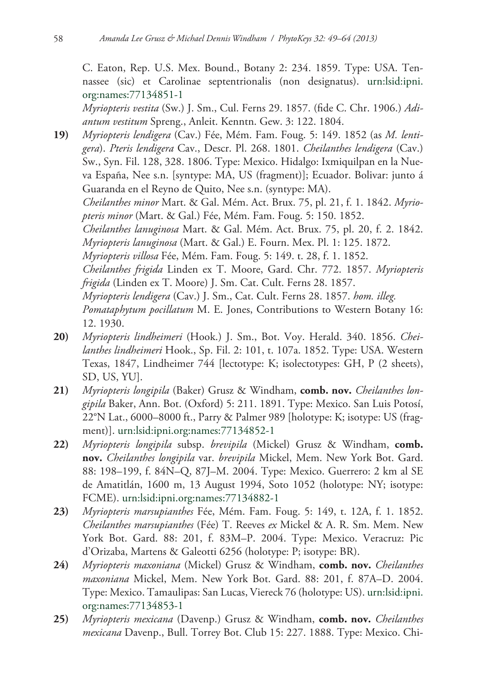C. Eaton, Rep. U.S. Mex. Bound., Botany 2: 234. 1859. Type: USA. Tennassee (sic) et Carolinae septentrionalis (non designatus). [urn:lsid:ipni.](http://ipni.org/urn:lsid:ipni.org:names:77134851-1) [org:names:77134851-1](http://ipni.org/urn:lsid:ipni.org:names:77134851-1)

*Myriopteris vestita* (Sw.) J. Sm., Cul. Ferns 29. 1857. (fide C. Chr. 1906.) *Adiantum vestitum* Spreng., Anleit. Kenntn. Gew. 3: 122. 1804.

- **19)** *Myriopteris lendigera* (Cav.) Fée, Mém. Fam. Foug. 5: 149. 1852 (as *M. lentigera*). *Pteris lendigera* Cav., Descr. Pl. 268. 1801. *Cheilanthes lendigera* (Cav.) Sw., Syn. Fil. 128, 328. 1806. Type: Mexico. Hidalgo: Ixmiquilpan en la Nueva España, Nee s.n. [syntype: MA, US (fragment)]; Ecuador. Bolivar: junto á Guaranda en el Reyno de Quito, Nee s.n. (syntype: MA). *Cheilanthes minor* Mart. & Gal. Mém. Act. Brux. 75, pl. 21, f. 1. 1842. *Myriopteris minor* (Mart. & Gal.) Fée, Mém. Fam. Foug. 5: 150. 1852. *Cheilanthes lanuginosa* Mart. & Gal. Mém. Act. Brux. 75, pl. 20, f. 2. 1842. *Myriopteris lanuginosa* (Mart. & Gal.) E. Fourn. Mex. Pl. 1: 125. 1872. *Myriopteris villosa* Fée, Mém. Fam. Foug. 5: 149. t. 28, f. 1. 1852. *Cheilanthes frigida* Linden ex T. Moore, Gard. Chr. 772. 1857. *Myriopteris frigida* (Linden ex T. Moore) J. Sm. Cat. Cult. Ferns 28. 1857. *Myriopteris lendigera* (Cav.) J. Sm., Cat. Cult. Ferns 28. 1857. *hom. illeg. Pomataphytum pocillatum* M. E. Jones, Contributions to Western Botany 16: 12. 1930.
- **20)** *Myriopteris lindheimeri* (Hook.) J. Sm., Bot. Voy. Herald. 340. 1856. *Cheilanthes lindheimeri* Hook., Sp. Fil. 2: 101, t. 107a. 1852. Type: USA. Western Texas, 1847, Lindheimer 744 [lectotype: K; isolectotypes: GH, P (2 sheets), SD, US, YU].
- **21)** *Myriopteris longipila* (Baker) Grusz & Windham, **comb. nov.** *Cheilanthes longipila* Baker, Ann. Bot. (Oxford) 5: 211. 1891. Type: Mexico. San Luis Potosí, 22°N Lat., 6000–8000 ft., Parry & Palmer 989 [holotype: K; isotype: US (fragment)]. [urn:lsid:ipni.org:names:77134852-1](http://ipni.org/urn:lsid:ipni.org:names:77134852-1)
- **22)** *Myriopteris longipila* subsp. *brevipila* (Mickel) Grusz & Windham, **comb. nov.** *Cheilanthes longipila* var. *brevipila* Mickel, Mem. New York Bot. Gard. 88: 198–199, f. 84N–Q, 87J–M. 2004. Type: Mexico. Guerrero: 2 km al SE de Amatitlán, 1600 m, 13 August 1994, Soto 1052 (holotype: NY; isotype: FCME). [urn:lsid:ipni.org:names:77134882-1](http://ipni.org/urn:lsid:ipni.org:names:77134882-1)
- **23)** *Myriopteris marsupianthes* Fée, Mém. Fam. Foug. 5: 149, t. 12A, f. 1. 1852. *Cheilanthes marsupianthes* (Fée) T. Reeves *ex* Mickel & A. R. Sm. Mem. New York Bot. Gard. 88: 201, f. 83M–P. 2004. Type: Mexico. Veracruz: Pic d'Orizaba, Martens & Galeotti 6256 (holotype: P; isotype: BR).
- **24)** *Myriopteris maxoniana* (Mickel) Grusz & Windham, **comb. nov.** *Cheilanthes maxoniana* Mickel, Mem. New York Bot. Gard. 88: 201, f. 87A–D. 2004. Type: Mexico. Tamaulipas: San Lucas, Viereck 76 (holotype: US). [urn:lsid:ipni.](http://ipni.org/urn:lsid:ipni.org:names:77134853-1) [org:names:77134853-1](http://ipni.org/urn:lsid:ipni.org:names:77134853-1)
- **25)** *Myriopteris mexicana* (Davenp.) Grusz & Windham, **comb. nov.** *Cheilanthes mexicana* Davenp., Bull. Torrey Bot. Club 15: 227. 1888. Type: Mexico. Chi-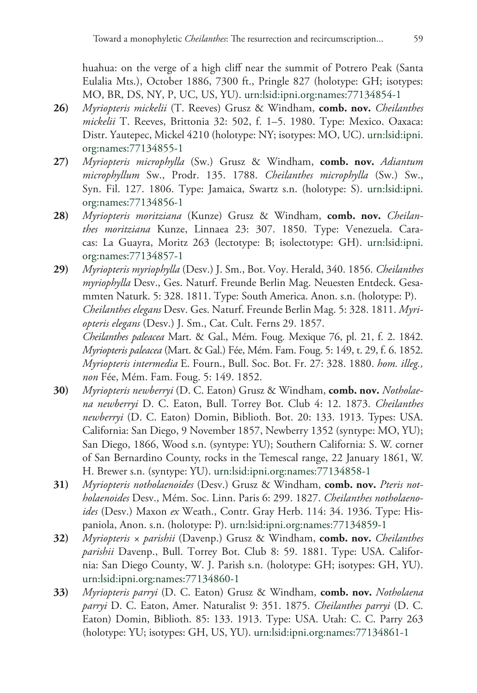huahua: on the verge of a high cliff near the summit of Potrero Peak (Santa Eulalia Mts.), October 1886, 7300 ft., Pringle 827 (holotype: GH; isotypes: MO, BR, DS, NY, P, UC, US, YU). [urn:lsid:ipni.org:names:77134854-1](http://ipni.org/urn:lsid:ipni.org:names:77134854-1)

- **26)** *Myriopteris mickelii* (T. Reeves) Grusz & Windham, **comb. nov.** *Cheilanthes mickelii* T. Reeves, Brittonia 32: 502, f. 1–5. 1980. Type: Mexico. Oaxaca: Distr. Yautepec, Mickel 4210 (holotype: NY; isotypes: MO, UC). [urn:lsid:ipni.](http://ipni.org/urn:lsid:ipni.org:names:77134855-1) [org:names:77134855-1](http://ipni.org/urn:lsid:ipni.org:names:77134855-1)
- **27)** *Myriopteris microphylla* (Sw.) Grusz & Windham, **comb. nov.** *Adiantum microphyllum* Sw., Prodr. 135. 1788. *Cheilanthes microphylla* (Sw.) Sw., Syn. Fil. 127. 1806. Type: Jamaica, Swartz s.n. (holotype: S). [urn:lsid:ipni.](http://ipni.org/urn:lsid:ipni.org:names:77134856-1) [org:names:77134856-1](http://ipni.org/urn:lsid:ipni.org:names:77134856-1)
- **28)** *Myriopteris moritziana* (Kunze) Grusz & Windham, **comb. nov.** *Cheilanthes moritziana* Kunze, Linnaea 23: 307. 1850. Type: Venezuela. Caracas: La Guayra, Moritz 263 (lectotype: B; isolectotype: GH). [urn:lsid:ipni.](http://ipni.org/urn:lsid:ipni.org:names:77134857-1) [org:names:77134857-1](http://ipni.org/urn:lsid:ipni.org:names:77134857-1)
- **29)** *Myriopteris myriophylla* (Desv.) J. Sm., Bot. Voy. Herald, 340. 1856. *Cheilanthes myriophylla* Desv., Ges. Naturf. Freunde Berlin Mag. Neuesten Entdeck. Gesammten Naturk. 5: 328. 1811. Type: South America. Anon. s.n. (holotype: P). *Cheilanthes elegans* Desv. Ges. Naturf. Freunde Berlin Mag. 5: 328. 1811. *Myriopteris elegans* (Desv.) J. Sm., Cat. Cult. Ferns 29. 1857. *Cheilanthes paleacea* Mart. & Gal., Mém. Foug. Mexique 76, pl. 21, f. 2. 1842. *Myriopteris paleacea* (Mart. & Gal.) Fée, Mém. Fam. Foug. 5: 149, t. 29, f. 6. 1852. *Myriopteris intermedia* E. Fourn., Bull. Soc. Bot. Fr. 27: 328. 1880. *hom. illeg., non* Fée, Mém. Fam. Foug. 5: 149. 1852.
- **30)** *Myriopteris newberryi* (D. C. Eaton) Grusz & Windham, **comb. nov.** *Notholaena newberryi* D. C. Eaton, Bull. Torrey Bot. Club 4: 12. 1873. *Cheilanthes newberryi* (D. C. Eaton) Domin, Biblioth. Bot. 20: 133. 1913. Types: USA. California: San Diego, 9 November 1857, Newberry 1352 (syntype: MO, YU); San Diego, 1866, Wood s.n. (syntype: YU); Southern California: S. W. corner of San Bernardino County, rocks in the Temescal range, 22 January 1861, W. H. Brewer s.n. (syntype: YU). [urn:lsid:ipni.org:names:77134858-1](http://ipni.org/urn:lsid:ipni.org:names:77134858-1)
- **31)** *Myriopteris notholaenoides* (Desv.) Grusz & Windham, **comb. nov.** *Pteris notholaenoides* Desv., Mém. Soc. Linn. Paris 6: 299. 1827. *Cheilanthes notholaenoides* (Desv.) Maxon *ex* Weath., Contr. Gray Herb. 114: 34. 1936. Type: Hispaniola, Anon. s.n. (holotype: P). [urn:lsid:ipni.org:names:77134859-1](http://ipni.org/urn:lsid:ipni.org:names:77134859-1)
- **32)** *Myriopteris × parishii* (Davenp.) Grusz & Windham, **comb. nov.** *Cheilanthes parishii* Davenp., Bull. Torrey Bot. Club 8: 59. 1881. Type: USA. California: San Diego County, W. J. Parish s.n. (holotype: GH; isotypes: GH, YU). [urn:lsid:ipni.org:names:77134860-1](http://ipni.org/urn:lsid:ipni.org:names:77134860-1)
- **33)** *Myriopteris parryi* (D. C. Eaton) Grusz & Windham, **comb. nov.** *Notholaena parryi* D. C. Eaton, Amer. Naturalist 9: 351. 1875. *Cheilanthes parryi* (D. C. Eaton) Domin, Biblioth. 85: 133. 1913. Type: USA. Utah: C. C. Parry 263 (holotype: YU; isotypes: GH, US, YU). [urn:lsid:ipni.org:names:77134861-1](http://ipni.org/urn:lsid:ipni.org:names:77134861-1)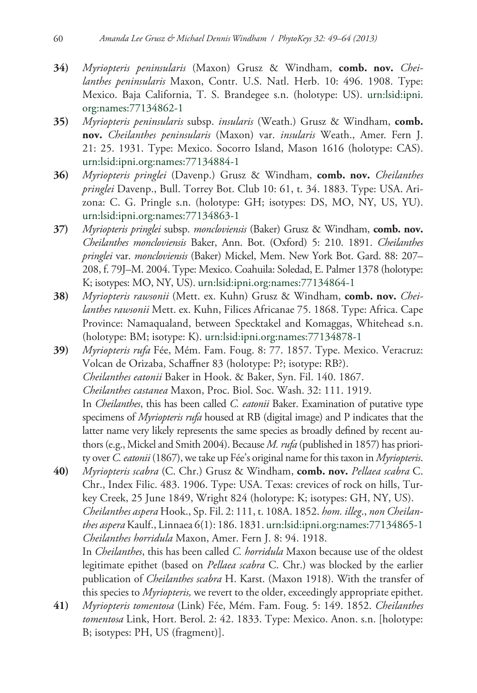- **34)** *Myriopteris peninsularis* (Maxon) Grusz & Windham, **comb. nov.** *Cheilanthes peninsularis* Maxon, Contr. U.S. Natl. Herb. 10: 496. 1908. Type: Mexico. Baja California, T. S. Brandegee s.n. (holotype: US). [urn:lsid:ipni.](http://ipni.org/urn:lsid:ipni.org:names:77134862-1) [org:names:77134862-1](http://ipni.org/urn:lsid:ipni.org:names:77134862-1)
- **35)** *Myriopteris peninsularis* subsp. *insularis* (Weath.) Grusz & Windham, **comb. nov.** *Cheilanthes peninsularis* (Maxon) var. *insularis* Weath., Amer. Fern J. 21: 25. 1931. Type: Mexico. Socorro Island, Mason 1616 (holotype: CAS). [urn:lsid:ipni.org:names:77134884-1](http://ipni.org/urn:lsid:ipni.org:names:77134884-1)
- **36)** *Myriopteris pringlei* (Davenp.) Grusz & Windham, **comb. nov.** *Cheilanthes pringlei* Davenp., Bull. Torrey Bot. Club 10: 61, t. 34. 1883. Type: USA. Arizona: C. G. Pringle s.n. (holotype: GH; isotypes: DS, MO, NY, US, YU). [urn:lsid:ipni.org:names:77134863-1](http://ipni.org/urn:lsid:ipni.org:names:77134863-1)
- **37)** *Myriopteris pringlei* subsp. *moncloviensis* (Baker) Grusz & Windham, **comb. nov.**  *Cheilanthes moncloviensis* Baker, Ann. Bot. (Oxford) 5: 210. 1891. *Cheilanthes pringlei* var. *moncloviensis* (Baker) Mickel, Mem. New York Bot. Gard. 88: 207– 208, f. 79J–M. 2004. Type: Mexico. Coahuila: Soledad, E. Palmer 1378 (holotype: K; isotypes: MO, NY, US). [urn](http://ipni.org/urn:lsid:ipni.org:names:77134878-1):lsid:ipni.org:names:77134864-1
- **38)** *Myriopteris rawsonii* (Mett. ex. Kuhn) Grusz & Windham, **comb. nov.** *Cheilanthes rawsonii* Mett. ex. Kuhn, Filices Africanae 75. 1868. Type: Africa. Cape Province: Namaqualand, between Specktakel and Komaggas, Whitehead s.n. (holotype: BM; isotype: K). [urn:lsid:ipni.org:names:77134878-1](http://ipni.org/urn:lsid:ipni.org:names:77134878-1)
- **39)** *Myriopteris rufa* Fée, Mém. Fam. Foug. 8: 77. 1857. Type. Mexico. Veracruz: Volcan de Orizaba, Schaffner 83 (holotype: P?; isotype: RB?). *Cheilanthes eatonii* Baker in Hook. & Baker, Syn. Fil. 140. 1867. *Cheilanthes castanea* Maxon, Proc. Biol. Soc. Wash. 32: 111. 1919. In *Cheilanthes*, this has been called *C. eatonii* Baker. Examination of putative type specimens of *Myriopteris rufa* housed at RB (digital image) and P indicates that the latter name very likely represents the same species as broadly defined by recent authors (e.g., Mickel and Smith 2004). Because *M. rufa* (published in 1857) has priority over *C. eatonii* (1867), we take up Fée's original name for this taxon in *Myriopteris*.
- **40)** *Myriopteris scabra* (C. Chr.) Grusz & Windham, **comb. nov.** *Pellaea scabra* C. Chr., Index Filic. 483. 1906. Type: USA. Texas: crevices of rock on hills, Turkey Creek, 25 June 1849, Wright 824 (holotype: K; isotypes: GH, NY, US). *Cheilanthes aspera* Hook., Sp. Fil. 2: 111, t. 108A. 1852. *hom. illeg*., *non Cheilanthes aspera* Kaulf., Linnaea 6(1): 186. 1831. [urn:lsid:ipni.org:names:77134865-1](http://ipni.org/urn:lsid:ipni.org:names:77134865-1) *Cheilanthes horridula* Maxon, Amer. Fern J. 8: 94. 1918. In *Cheilanthes*, this has been called *C. horridula* Maxon because use of the oldest legitimate epithet (based on *Pellaea scabra* C. Chr.) was blocked by the earlier publication of *Cheilanthes scabra* H. Karst. (Maxon 1918). With the transfer of this species to *Myriopteris,* we revert to the older, exceedingly appropriate epithet.
- **41)** *Myriopteris tomentosa* (Link) Fée, Mém. Fam. Foug. 5: 149. 1852. *Cheilanthes tomentosa* Link, Hort. Berol. 2: 42. 1833. Type: Mexico. Anon. s.n. [holotype: B; isotypes: PH, US (fragment)].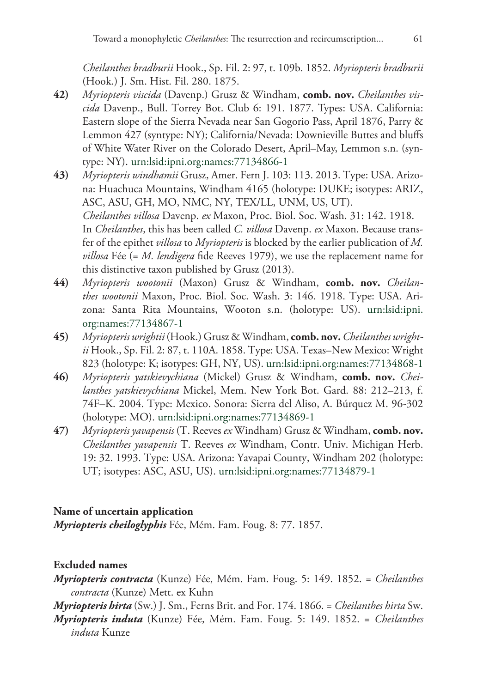*Cheilanthes bradburii* Hook., Sp. Fil. 2: 97, t. 109b. 1852. *Myriopteris bradburii* (Hook.) J. Sm. Hist. Fil. 280. 1875.

- **42)** *Myriopteris viscida* (Davenp.) Grusz & Windham, **comb. nov.** *Cheilanthes viscida* Davenp., Bull. Torrey Bot. Club 6: 191. 1877. Types: USA. California: Eastern slope of the Sierra Nevada near San Gogorio Pass, April 1876, Parry & Lemmon 427 (syntype: NY); California/Nevada: Downieville Buttes and bluffs of White Water River on the Colorado Desert, April–May, Lemmon s.n. (syntype: NY). [urn:lsid:ipni.org:names:77134866-1](http://ipni.org/urn:lsid:ipni.org:names:77134866-1)
- **43)** *Myriopteris windhamii* Grusz, Amer. Fern J. 103: 113. 2013. Type: USA. Arizona: Huachuca Mountains, Windham 4165 (holotype: DUKE; isotypes: ARIZ, ASC, ASU, GH, MO, NMC, NY, TEX/LL, UNM, US, UT). *Cheilanthes villosa* Davenp. *ex* Maxon, Proc. Biol. Soc. Wash. 31: 142. 1918. In *Cheilanthes*, this has been called *C. villosa* Davenp. *ex* Maxon. Because transfer of the epithet *villosa* to *Myriopteris* is blocked by the earlier publication of *M. villosa* Fée (= *M. lendigera* fide Reeves 1979), we use the replacement name for this distinctive taxon published by Grusz (2013).
- **44)** *Myriopteris wootonii* (Maxon) Grusz & Windham, **comb. nov.** *Cheilanthes wootonii* Maxon, Proc. Biol. Soc. Wash. 3: 146. 1918. Type: USA. Arizona: Santa Rita Mountains, Wooton s.n. (holotype: US). [urn:lsid:ipni.](http://ipni.org/urn:lsid:ipni.org:names:77134867-1) [org:names:77134867-1](http://ipni.org/urn:lsid:ipni.org:names:77134867-1)
- **45)** *Myriopteris wrightii*(Hook.) Grusz & Windham, **comb. nov.***Cheilanthes wrightii* Hook., Sp. Fil. 2: 87, t. 110A. 1858. Type: USA. Texas–New Mexico: Wright 823 (holotype: K; isotypes: GH, NY, US). [urn:lsid:ipni.org:names:77134868-1](http://ipni.org/urn:lsid:ipni.org:names:77134868-1)
- **46)** *Myriopteris yatskievychiana* (Mickel) Grusz & Windham, **comb. nov.** *Cheilanthes yatskievychiana* Mickel, Mem. New York Bot. Gard. 88: 212–213, f. 74F–K. 2004. Type: Mexico. Sonora: Sierra del Aliso, A. Búrquez M. 96-302 (holotype: MO). [urn:lsid:ipni.org:names:77134869-1](http://ipni.org/urn:lsid:ipni.org:names:77134869-1)
- **47)** *Myriopteris yavapensis* (T. Reeves *ex* Windham) Grusz & Windham, **comb. nov.** *Cheilanthes yavapensis* T. Reeves *ex* Windham, Contr. Univ. Michigan Herb. 19: 32. 1993. Type: USA. Arizona: Yavapai County, Windham 202 (holotype: UT; isotypes: ASC, ASU, US). [urn:lsid:ipni.org:names:77134879-1](http://ipni.org/urn:lsid:ipni.org:names:77134879-1)

## **Name of uncertain application**

*Myriopteris cheiloglyphis* Fée, Mém. Fam. Foug. 8: 77. 1857.

# **Excluded names**

*Myriopteris contracta* (Kunze) Fée, Mém. Fam. Foug. 5: 149. 1852. = *Cheilanthes contracta* (Kunze) Mett. ex Kuhn

*Myriopteris hirta* (Sw.) J. Sm., Ferns Brit. and For. 174. 1866. = *Cheilanthes hirta* Sw.

*Myriopteris induta* (Kunze) Fée, Mém. Fam. Foug. 5: 149. 1852. = *Cheilanthes induta* Kunze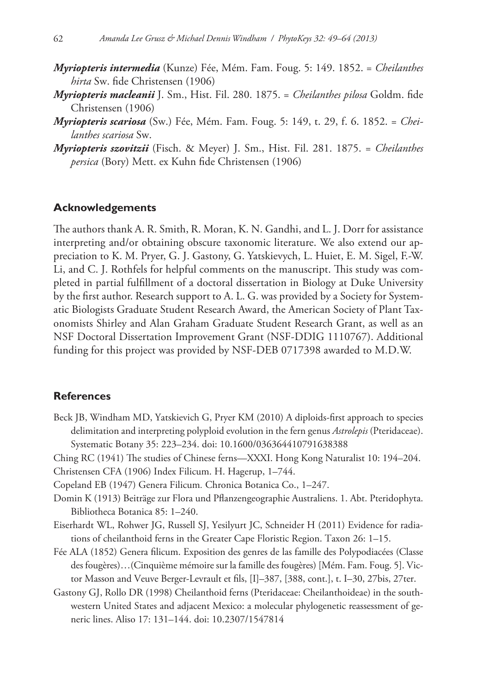- *Myriopteris intermedia* (Kunze) Fée, Mém. Fam. Foug. 5: 149. 1852. = *Cheilanthes hirta* Sw. fide Christensen (1906)
- *Myriopteris macleanii* J. Sm., Hist. Fil. 280. 1875. = *Cheilanthes pilosa* Goldm. fide Christensen (1906)
- *Myriopteris scariosa* (Sw.) Fée, Mém. Fam. Foug. 5: 149, t. 29, f. 6. 1852. = *Cheilanthes scariosa* Sw.
- *Myriopteris szovitzii* (Fisch. & Meyer) J. Sm., Hist. Fil. 281. 1875. = *Cheilanthes persica* (Bory) Mett. ex Kuhn fide Christensen (1906)

## **Acknowledgements**

The authors thank A. R. Smith, R. Moran, K. N. Gandhi, and L. J. Dorr for assistance interpreting and/or obtaining obscure taxonomic literature. We also extend our appreciation to K. M. Pryer, G. J. Gastony, G. Yatskievych, L. Huiet, E. M. Sigel, F.-W. Li, and C. J. Rothfels for helpful comments on the manuscript. This study was completed in partial fulfillment of a doctoral dissertation in Biology at Duke University by the first author. Research support to A. L. G. was provided by a Society for Systematic Biologists Graduate Student Research Award, the American Society of Plant Taxonomists Shirley and Alan Graham Graduate Student Research Grant, as well as an NSF Doctoral Dissertation Improvement Grant (NSF-DDIG 1110767). Additional funding for this project was provided by NSF-DEB 0717398 awarded to M.D.W.

## **References**

- Beck JB, Windham MD, Yatskievich G, Pryer KM (2010) A diploids-first approach to species delimitation and interpreting polyploid evolution in the fern genus *Astrolepis* (Pteridaceae). Systematic Botany 35: 223–234. [doi: 10.1600/036364410791638388](http://dx.doi.org/10.1600/036364410791638388)
- Ching RC (1941) The studies of Chinese ferns—XXXI. Hong Kong Naturalist 10: 194–204.
- Christensen CFA (1906) Index Filicum. H. Hagerup, 1–744.
- Copeland EB (1947) Genera Filicum*.* Chronica Botanica Co., 1–247.
- Domin K (1913) Beiträge zur Flora und Pflanzengeographie Australiens. 1. Abt. Pteridophyta. Bibliotheca Botanica 85: 1–240.
- Eiserhardt WL, Rohwer JG, Russell SJ, Yesilyurt JC, Schneider H (2011) Evidence for radiations of cheilanthoid ferns in the Greater Cape Floristic Region. Taxon 26: 1–15.
- Fée ALA (1852) Genera filicum. Exposition des genres de las famille des Polypodiacées (Classe des fougères)…(Cinquième mémoire sur la famille des fougères) [Mém. Fam. Foug. 5]. Victor Masson and Veuve Berger-Levrault et fils, [I]–387, [388, cont.], t. I–30, 27bis, 27ter.
- Gastony GJ, Rollo DR (1998) Cheilanthoid ferns (Pteridaceae: Cheilanthoideae) in the southwestern United States and adjacent Mexico: a molecular phylogenetic reassessment of generic lines. Aliso 17: 131–144. [doi: 10.2307/1547814](http://dx.doi.org/10.2307/1547814)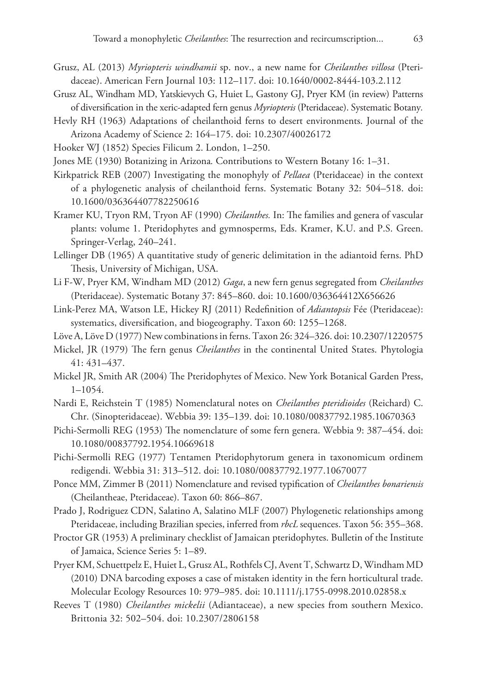- Grusz, AL (2013) *Myriopteris windhamii* sp. nov., a new name for *Cheilanthes villosa* (Pteridaceae). American Fern Journal 103: 112–117. [doi: 10.1640/0002-8444-103.2.112](http://dx.doi.org/10.1640/0002-8444-103.2.112)
- Grusz AL, Windham MD, Yatskievych G, Huiet L, Gastony GJ, Pryer KM (in review) Patterns of diversification in the xeric-adapted fern genus *Myriopteris* (Pteridaceae). Systematic Botany*.*
- Hevly RH (1963) Adaptations of cheilanthoid ferns to desert environments. Journal of the Arizona Academy of Science 2: 164–175. [doi: 10.2307/40026172](http://dx.doi.org/10.2307/40026172)
- Hooker WJ (1852) Species Filicum 2. London, 1–250.
- Jones ME (1930) Botanizing in Arizona*.* Contributions to Western Botany 16: 1–31.
- Kirkpatrick REB (2007) Investigating the monophyly of *Pellaea* (Pteridaceae) in the context of a phylogenetic analysis of cheilanthoid ferns. Systematic Botany 32: 504–518. [doi:](http://dx.doi.org/10.1600/036364407782250616) [10.1600/036364407782250616](http://dx.doi.org/10.1600/036364407782250616)
- Kramer KU, Tryon RM, Tryon AF (1990) *Cheilanthes.* In: The families and genera of vascular plants: volume 1. Pteridophytes and gymnosperms, Eds. Kramer, K.U. and P.S. Green. Springer-Verlag, 240–241.
- Lellinger DB (1965) A quantitative study of generic delimitation in the adiantoid ferns. PhD Thesis, University of Michigan, USA.
- Li F-W, Pryer KM, Windham MD (2012) *Gaga*, a new fern genus segregated from *Cheilanthes* (Pteridaceae). Systematic Botany 37: 845–860. [doi: 10.1600/036364412X656626](http://dx.doi.org/10.1600/036364412X656626)
- Link-Perez MA, Watson LE, Hickey RJ (2011) Redefinition of *Adiantopsis* Fée (Pteridaceae): systematics, diversification, and biogeography. Taxon 60: 1255–1268.
- Löve A, Löve D (1977) New combinations in ferns. Taxon 26: 324–326. [doi: 10.2307/1220575](http://dx.doi.org/10.2307/1220575)
- Mickel, JR (1979) The fern genus *Cheilanthes* in the continental United States. Phytologia 41: 431–437.
- Mickel JR, Smith AR (2004) The Pteridophytes of Mexico. New York Botanical Garden Press, 1–1054.
- Nardi E, Reichstein T (1985) Nomenclatural notes on *Cheilanthes pteridioides* (Reichard) C. Chr. (Sinopteridaceae). Webbia 39: 135–139. [doi: 10.1080/00837792.1985.10670363](http://dx.doi.org/10.1080/00837792.1985.10670363)
- Pichi-Sermolli REG (1953) The nomenclature of some fern genera. Webbia 9: 387–454. [doi:](http://dx.doi.org/10.1080/00837792.1954.10669618) [10.1080/00837792.1954.10669618](http://dx.doi.org/10.1080/00837792.1954.10669618)
- Pichi-Sermolli REG (1977) Tentamen Pteridophytorum genera in taxonomicum ordinem redigendi. Webbia 31: 313–512. [doi: 10.1080/00837792.1977.10670077](http://dx.doi.org/10.1080/00837792.1977.10670077)
- Ponce MM, Zimmer B (2011) Nomenclature and revised typification of *Cheilanthes bonariensis* (Cheilantheae, Pteridaceae). Taxon 60: 866–867.
- Prado J, Rodriguez CDN, Salatino A, Salatino MLF (2007) Phylogenetic relationships among Pteridaceae, including Brazilian species, inferred from *rbcL* sequences. Taxon 56: 355–368.
- Proctor GR (1953) A preliminary checklist of Jamaican pteridophytes. Bulletin of the Institute of Jamaica, Science Series 5: 1–89.
- Pryer KM, Schuettpelz E, Huiet L, Grusz AL, Rothfels CJ, Avent T, Schwartz D, Windham MD (2010) DNA barcoding exposes a case of mistaken identity in the fern horticultural trade. Molecular Ecology Resources 10: 979–985. [doi: 10.1111/j.1755-0998.2010.02858.x](http://dx.doi.org/10.1111/j.1755-0998.2010.02858.x)
- Reeves T (1980) *Cheilanthes mickelii* (Adiantaceae), a new species from southern Mexico. Brittonia 32: 502–504. [doi: 10.2307/2806158](http://dx.doi.org/10.2307/2806158)